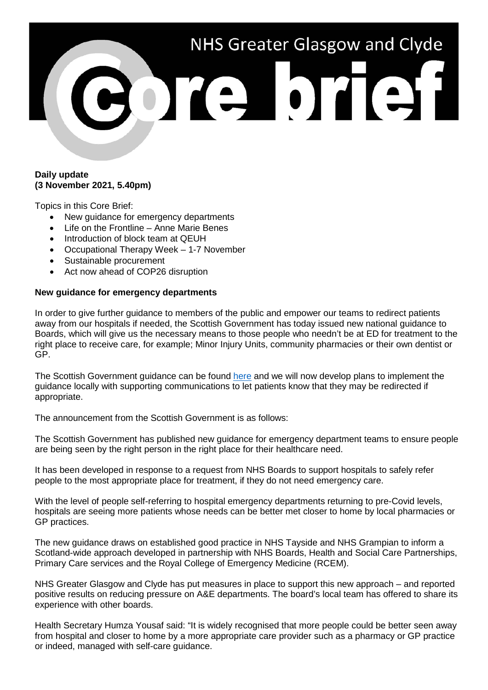# NHS Greater Glasgow and Clyde ore brief

#### **Daily update (3 November 2021, 5.40pm)**

Topics in this Core Brief:

- New guidance for emergency departments
- Life on the Frontline Anne Marie Benes
- Introduction of block team at QEUH
- Occupational Therapy Week 1-7 November
- Sustainable procurement
- Act now ahead of COP26 disruption

## **New guidance for emergency departments**

In order to give further guidance to members of the public and empower our teams to redirect patients away from our hospitals if needed, the Scottish Government has today issued new national guidance to Boards, which will give us the necessary means to those people who needn't be at ED for treatment to the right place to receive care, for example; Minor Injury Units, community pharmacies or their own dentist or GP.

The Scottish Government guidance can be found [here](https://www.gov.scot/publications/emergency-department-guidance-signposting-redirection/) and we will now develop plans to implement the guidance locally with supporting communications to let patients know that they may be redirected if appropriate.

The announcement from the Scottish Government is as follows:

The Scottish Government has published new guidance for emergency department teams to ensure people are being seen by the right person in the right place for their healthcare need.

It has been developed in response to a request from NHS Boards to support hospitals to safely refer people to the most appropriate place for treatment, if they do not need emergency care.

With the level of people self-referring to hospital emergency departments returning to pre-Covid levels, hospitals are seeing more patients whose needs can be better met closer to home by local pharmacies or GP practices.

The new guidance draws on established good practice in NHS Tayside and NHS Grampian to inform a Scotland-wide approach developed in partnership with NHS Boards, Health and Social Care Partnerships, Primary Care services and the Royal College of Emergency Medicine (RCEM).

NHS Greater Glasgow and Clyde has put measures in place to support this new approach – and reported positive results on reducing pressure on A&E departments. The board's local team has offered to share its experience with other boards.

Health Secretary Humza Yousaf said: "It is widely recognised that more people could be better seen away from hospital and closer to home by a more appropriate care provider such as a pharmacy or GP practice or indeed, managed with self-care guidance.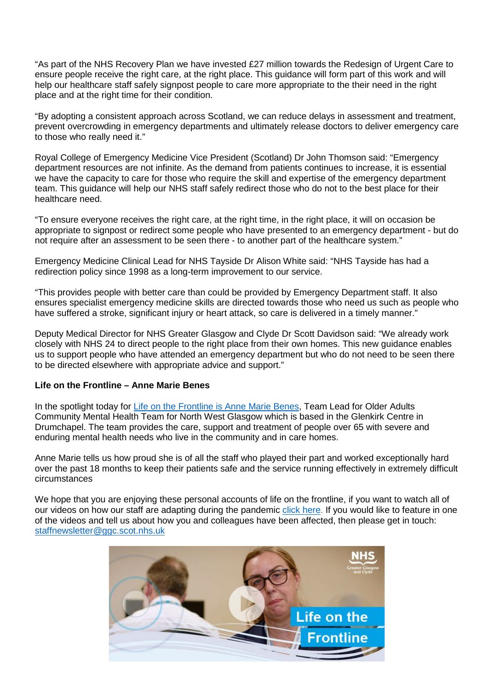"As part of the NHS Recovery Plan we have invested £27 million towards the Redesign of Urgent Care to ensure people receive the right care, at the right place. This guidance will form part of this work and will help our healthcare staff safely signpost people to care more appropriate to the their need in the right place and at the right time for their condition.

"By adopting a consistent approach across Scotland, we can reduce delays in assessment and treatment, prevent overcrowding in emergency departments and ultimately release doctors to deliver emergency care to those who really need it."

Royal College of Emergency Medicine Vice President (Scotland) Dr John Thomson said: "Emergency department resources are not infinite. As the demand from patients continues to increase, it is essential we have the capacity to care for those who require the skill and expertise of the emergency department team. This guidance will help our NHS staff safely redirect those who do not to the best place for their healthcare need.

"To ensure everyone receives the right care, at the right time, in the right place, it will on occasion be appropriate to signpost or redirect some people who have presented to an emergency department - but do not require after an assessment to be seen there - to another part of the healthcare system."

Emergency Medicine Clinical Lead for NHS Tayside Dr Alison White said: "NHS Tayside has had a redirection policy since 1998 as a long-term improvement to our service.

"This provides people with better care than could be provided by Emergency Department staff. It also ensures specialist emergency medicine skills are directed towards those who need us such as people who have suffered a stroke, significant injury or heart attack, so care is delivered in a timely manner."

Deputy Medical Director for NHS Greater Glasgow and Clyde Dr Scott Davidson said: "We already work closely with NHS 24 to direct people to the right place from their own homes. This new guidance enables us to support people who have attended an emergency department but who do not need to be seen there to be directed elsewhere with appropriate advice and support."

## **Life on the Frontline – Anne Marie Benes**

In the spotlight today for [Life on the Frontline is](https://youtu.be/KWad4CqLuGo) Anne Marie Benes, Team Lead for Older Adults Community Mental Health Team for North West Glasgow which is based in the Glenkirk Centre in Drumchapel. The team provides the care, support and treatment of people over 65 with severe and enduring mental health needs who live in the community and in care homes.

Anne Marie tells us how proud she is of all the staff who played their part and worked exceptionally hard over the past 18 months to keep their patients safe and the service running effectively in extremely difficult circumstances

We hope that you are enjoying these personal accounts of life on the frontline, if you want to watch all of our videos on how our staff are adapting during the pandemic [click here.](https://www.nhsggc.org.uk/your-health/health-issues/covid-19-coronavirus/life-on-the-frontline/) If you would like to feature in one of the videos and tell us about how you and colleagues have been affected, then please get in touch: [staffnewsletter@ggc.scot.nhs.uk](mailto:staffnewsletter@ggc.scot.nhs.uk)

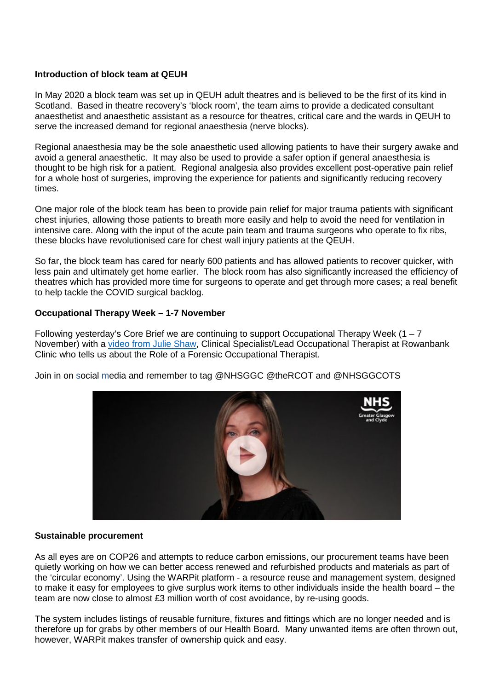## **Introduction of block team at QEUH**

In May 2020 a block team was set up in QEUH adult theatres and is believed to be the first of its kind in Scotland. Based in theatre recovery's 'block room', the team aims to provide a dedicated consultant anaesthetist and anaesthetic assistant as a resource for theatres, critical care and the wards in QEUH to serve the increased demand for regional anaesthesia (nerve blocks).

Regional anaesthesia may be the sole anaesthetic used allowing patients to have their surgery awake and avoid a general anaesthetic. It may also be used to provide a safer option if general anaesthesia is thought to be high risk for a patient. Regional analgesia also provides excellent post-operative pain relief for a whole host of surgeries, improving the experience for patients and significantly reducing recovery times.

One major role of the block team has been to provide pain relief for major trauma patients with significant chest injuries, allowing those patients to breath more easily and help to avoid the need for ventilation in intensive care. Along with the input of the acute pain team and trauma surgeons who operate to fix ribs, these blocks have revolutionised care for chest wall injury patients at the QEUH.

So far, the block team has cared for nearly 600 patients and has allowed patients to recover quicker, with less pain and ultimately get home earlier. The block room has also significantly increased the efficiency of theatres which has provided more time for surgeons to operate and get through more cases; a real benefit to help tackle the COVID surgical backlog.

#### **Occupational Therapy Week – 1-7 November**

Following yesterday's Core Brief we are continuing to support Occupational Therapy Week  $(1 - 7)$ November) with a [video from Julie Shaw,](https://youtu.be/IVefECZ7_-E) Clinical Specialist/Lead Occupational Therapist at Rowanbank Clinic who tells us about the Role of a Forensic Occupational Therapist.

Join in on social media and remember to tag @NHSGGC @theRCOT and @NHSGGCOTS



#### **Sustainable procurement**

As all eyes are on COP26 and attempts to reduce carbon emissions, our procurement teams have been quietly working on how we can better access renewed and refurbished products and materials as part of the 'circular economy'. Using the WARPit platform - a resource reuse and management system, designed to make it easy for employees to give surplus work items to other individuals inside the health board – the team are now close to almost £3 million worth of cost avoidance, by re-using goods.

The system includes listings of reusable furniture, fixtures and fittings which are no longer needed and is therefore up for grabs by other members of our Health Board. Many unwanted items are often thrown out, however, WARPit makes transfer of ownership quick and easy.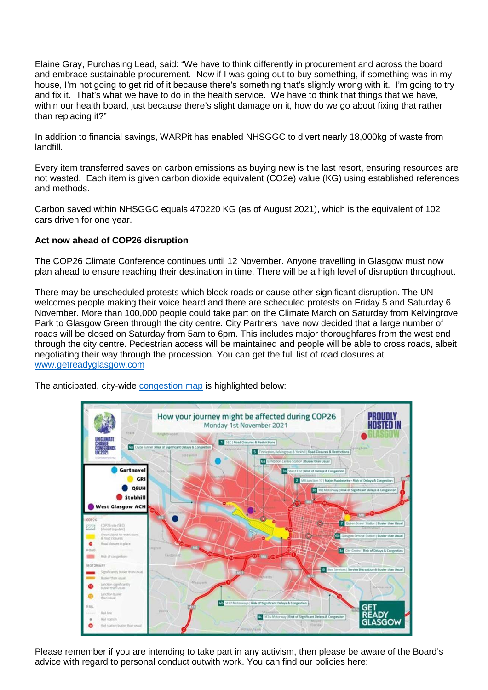Elaine Gray, Purchasing Lead, said: "We have to think differently in procurement and across the board and embrace sustainable procurement. Now if I was going out to buy something, if something was in my house, I'm not going to get rid of it because there's something that's slightly wrong with it. I'm going to try and fix it. That's what we have to do in the health service. We have to think that things that we have, within our health board, just because there's slight damage on it, how do we go about fixing that rather than replacing it?"

In addition to financial savings, WARPit has enabled NHSGGC to divert nearly 18,000kg of waste from landfill.

Every item transferred saves on carbon emissions as buying new is the last resort, ensuring resources are not wasted. Each item is given carbon dioxide equivalent (CO2e) value (KG) using established references and methods.

Carbon saved within NHSGGC equals 470220 KG (as of August 2021), which is the equivalent of 102 cars driven for one year.

# **Act now ahead of COP26 disruption**

The COP26 Climate Conference continues until 12 November. Anyone travelling in Glasgow must now plan ahead to ensure reaching their destination in time. There will be a high level of disruption throughout.

There may be unscheduled protests which block roads or cause other significant disruption. The UN welcomes people making their voice heard and there are scheduled protests on Friday 5 and Saturday 6 November. More than 100,000 people could take part on the Climate March on Saturday from Kelvingrove Park to Glasgow Green through the city centre. City Partners have now decided that a large number of roads will be closed on Saturday from 5am to 6pm. This includes major thoroughfares from the west end through the city centre. Pedestrian access will be maintained and people will be able to cross roads, albeit negotiating their way through the procession. You can get the full list of road closures at [www.getreadyglasgow.com](http://www.getreadyglasgow.com/)

The anticipated, city-wide [congestion map](https://www.nhsggc.org.uk/about-us/cop26-conference/staff-information/) is highlighted below:



Please remember if you are intending to take part in any activism, then please be aware of the Board's advice with regard to personal conduct outwith work. You can find our policies here: